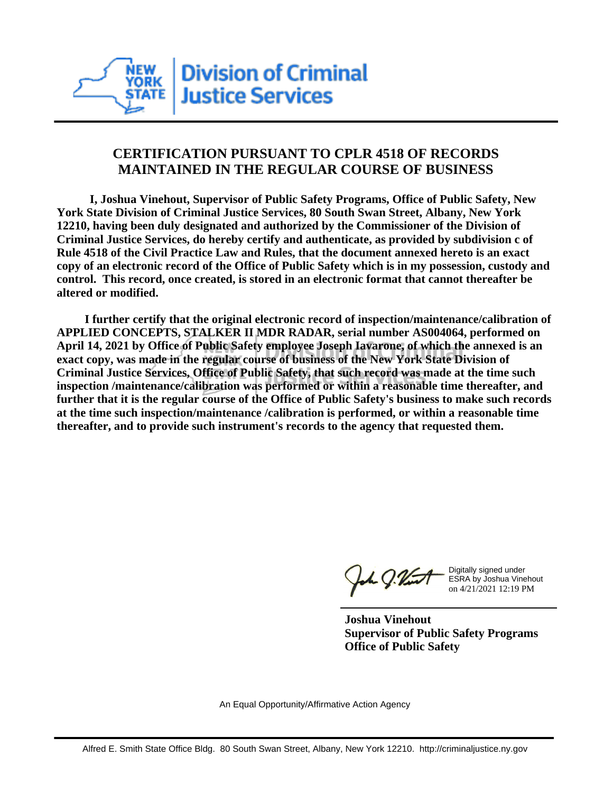

## **CERTIFICATION PURSUANT TO CPLR 4518 OF RECORDS MAINTAINED IN THE REGULAR COURSE OF BUSINESS**

 **I, Joshua Vinehout, Supervisor of Public Safety Programs, Office of Public Safety, New York State Division of Criminal Justice Services, 80 South Swan Street, Albany, New York 12210, having been duly designated and authorized by the Commissioner of the Division of Criminal Justice Services, do hereby certify and authenticate, as provided by subdivision c of Rule 4518 of the Civil Practice Law and Rules, that the document annexed hereto is an exact copy of an electronic record of the Office of Public Safety which is in my possession, custody and control. This record, once created, is stored in an electronic format that cannot thereafter be altered or modified.**

 **I further certify that the original electronic record of inspection/maintenance/calibration of APPLIED CONCEPTS, STALKER II MDR RADAR, serial number AS004064, performed on April 14, 2021 by Office of Public Safety employee Joseph Iavarone, of which the annexed is an exact copy, was made in the regular course of business of the New York State Division of Criminal Justice Services, Office of Public Safety, that such record was made at the time such inspection /maintenance/calibration was performed or within a reasonable time thereafter, and further that it is the regular course of the Office of Public Safety's business to make such records at the time such inspection/maintenance /calibration is performed, or within a reasonable time thereafter, and to provide such instrument's records to the agency that requested them.**

the g. Vint

Digitally signed under ESRA by Joshua Vinehout on 4/21/2021 12:19 PM

**Joshua Vinehout Supervisor of Public Safety Programs Office of Public Safety**

An Equal Opportunity/Affirmative Action Agency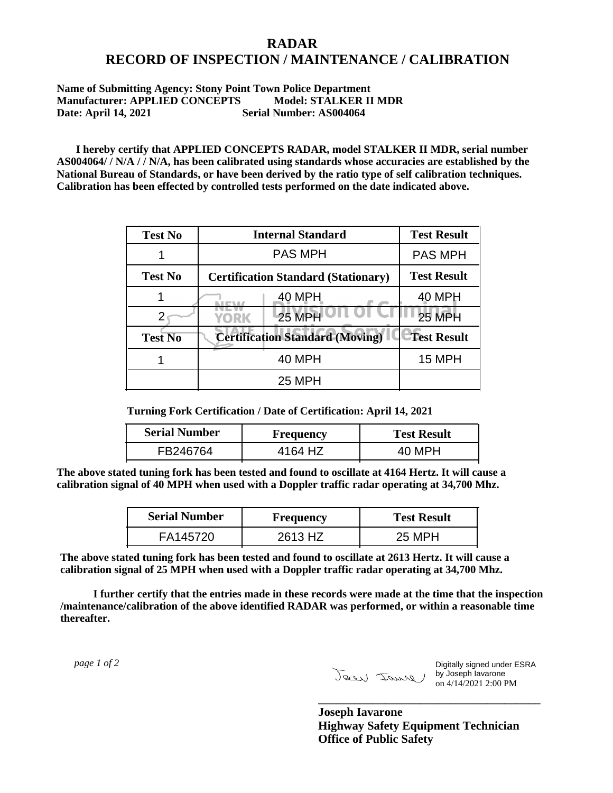## **RADAR RECORD OF INSPECTION / MAINTENANCE / CALIBRATION**

## **Name of Submitting Agency: Stony Point Town Police Department Manufacturer: APPLIED CONCEPTS Model: STALKER II MDR Date: April 14, 2021 Serial Number: AS004064**

 **I hereby certify that APPLIED CONCEPTS RADAR, model STALKER II MDR, serial number AS004064/ / N/A / / N/A, has been calibrated using standards whose accuracies are established by the National Bureau of Standards, or have been derived by the ratio type of self calibration techniques. Calibration has been effected by controlled tests performed on the date indicated above.**

| <b>Test No</b> | <b>Internal Standard</b>                   | <b>Test Result</b> |
|----------------|--------------------------------------------|--------------------|
|                | <b>PAS MPH</b>                             | <b>PAS MPH</b>     |
| <b>Test No</b> | <b>Certification Standard (Stationary)</b> | <b>Test Result</b> |
|                | 40 MPH                                     | 40 MPH             |
|                | <b>25 MPH</b><br>YORK                      | <b>25 MPH</b>      |
| <b>Test No</b> | <b>Certification Standard (Moving)</b>     | <b>Test Result</b> |
|                | <b>40 MPH</b>                              | 15 MPH             |
|                | <b>25 MPH</b>                              |                    |

**Turning Fork Certification / Date of Certification: April 14, 2021**

| <b>Serial Number</b> | Frequency | <b>Test Result</b> |
|----------------------|-----------|--------------------|
| FB246764             | 4164 HZ   | 40 MPH             |

**The above stated tuning fork has been tested and found to oscillate at 4164 Hertz. It will cause a calibration signal of 40 MPH when used with a Doppler traffic radar operating at 34,700 Mhz.**

| <b>Serial Number</b> | Frequency | <b>Test Result</b> |
|----------------------|-----------|--------------------|
| FA145720             | 2613 HZ   | 25 MPH             |

**The above stated tuning fork has been tested and found to oscillate at 2613 Hertz. It will cause a calibration signal of 25 MPH when used with a Doppler traffic radar operating at 34,700 Mhz.**

 **I further certify that the entries made in these records were made at the time that the inspection /maintenance/calibration of the above identified RADAR was performed, or within a reasonable time thereafter.**

 *page 1 of 2* 

Digitally signed under ESRA by Joseph Iavarone on 4/14/2021 2:00 PM

**Joseph Iavarone Highway Safety Equipment Technician Office of Public Safety**

**\_\_\_\_\_\_\_\_\_\_\_\_\_\_\_\_\_\_\_\_\_\_\_\_\_\_\_\_\_\_\_\_\_\_\_\_\_**